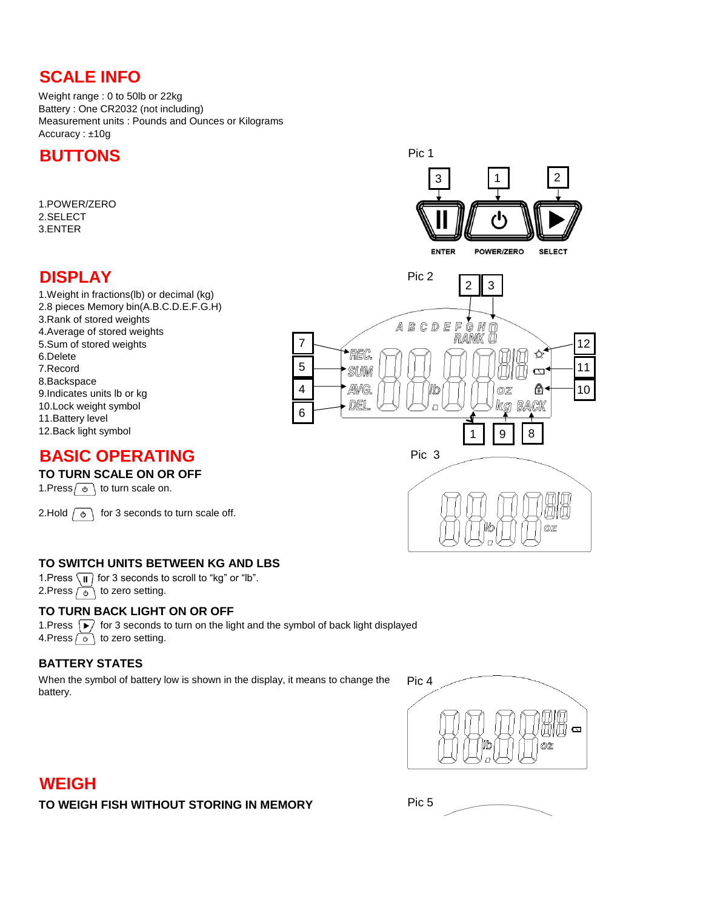# **SCALE INFO**

Weight range : 0 to 50lb or 22kg Battery : One CR2032 (not including) Measurement units : Pounds and Ounces or Kilograms Accuracy : ±10g

## **BUTTONS**

1.POWER/ZERO 2.SELECT 3.ENTER

# **DISPLAY**

1.Weight in fractions(lb) or decimal (kg) 2.8 pieces Memory bin(A.B.C.D.E.F.G.H) 3.Rank of stored weights 4.Average of stored weights 5.Sum of stored weights 6.Delete 7.Record 8.Backspace 9.Indicates units lb or kg 10.Lock weight symbol 11.Battery level

## **BASIC OPERATING**

### **TO TURN SCALE ON OR OFF**

1.Press  $\sigma$  to turn scale on.

2.Hold  $\sqrt{\phi}$  for 3 seconds to turn scale off.

### **TO SWITCH UNITS BETWEEN KG AND LBS**

1.Press  $\sqrt{\mathbf{i}}$  for 3 seconds to scroll to "kg" or "lb". 2. Press  $\overline{\circ}$  to zero setting.

#### **TO TURN BACK LIGHT ON OR OFF**

1. Press  $\boxed{\blacktriangleright}$  for 3 seconds to turn on the light and the symbol of back light displayed 4. Press  $\circ$  to zero setting.

### **BATTERY STATES**

When the symbol of battery low is shown in the display, it means to change the battery.



Pic 5

### **WEIGH**

**TO WEIGH FISH WITHOUT STORING IN MEMORY**

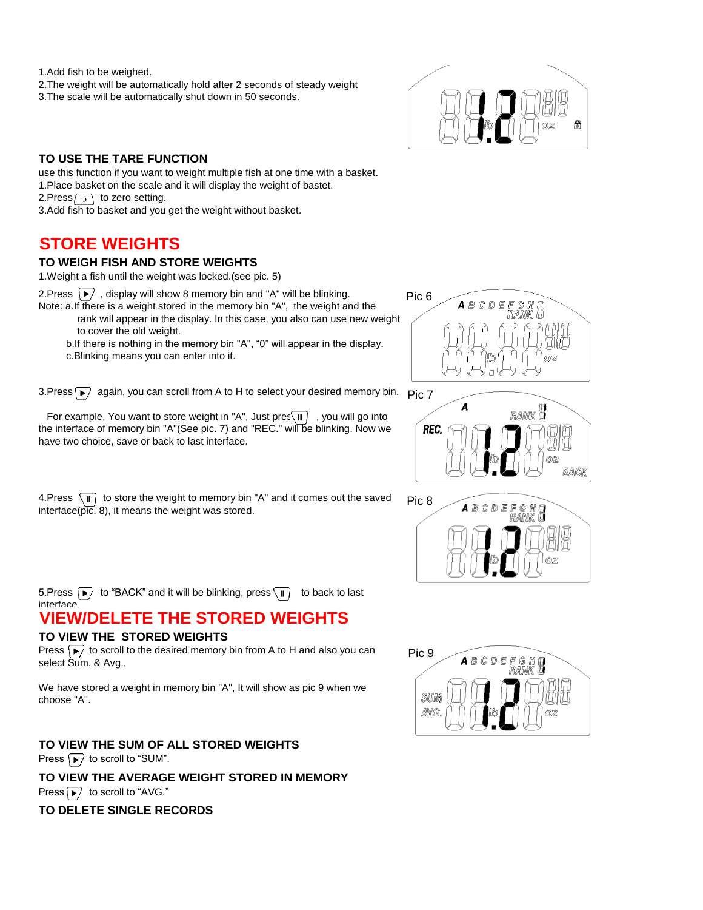1.Add fish to be weighed.

2.The weight will be automatically hold after 2 seconds of steady weight 3.The scale will be automatically shut down in 50 seconds.



#### **TO USE THE TARE FUNCTION**

use this function if you want to weight multiple fish at one time with a basket. 1.Place basket on the scale and it will display the weight of bastet. 2.Press  $\circ$  to zero setting. 3.Add fish to basket and you get the weight without basket.

**STORE WEIGHTS**

#### **TO WEIGH FISH AND STORE WEIGHTS**

1.Weight a fish until the weight was locked.(see pic. 5)

2.Press  $\left\vert \blacktriangleright\right\rangle$ , display will show 8 memory bin and "A" will be blinking.

Note: a.If there is a weight stored in the memory bin "A", the weight and the rank will appear in the display. In this case, you also can use new weight

 to cover the old weight. b.If there is nothing in the memory bin "A", "0" will appear in the display.

c.Blinking means you can enter into it.

3.Press  $\blacktriangleright$  again, you can scroll from A to H to select your desired memory bin.  $\;\mathsf{p}_{\mathsf{IC}}\,$ 7

For example, You want to store weight in "A", Just pres $\overline{\mathbf{u}}$ , you will go into the interface of memory bin "A"(See pic. 7) and "REC." will be blinking. Now we have two choice, save or back to last interface.

4.Press  $\overline{\mathbf{u}}$  to store the weight to memory bin "A" and it comes out the saved interface(pic. 8), it means the weight was stored.







5.Press  $\boxed{\blacktriangleright}$  to "BACK" and it will be blinking, press  $\boxed{\text{II}}$  to back to last interface.

# **VIEW/DELETE THE STORED WEIGHTS**

#### **TO VIEW THE STORED WEIGHTS**

Press  $\boxed{\blacktriangleright}$  to scroll to the desired memory bin from A to H and also you can select Sum. & Avg.,

We have stored a weight in memory bin "A", It will show as pic 9 when we choose "A".

**TO VIEW THE SUM OF ALL STORED WEIGHTS TO VIEW THE AVERAGE WEIGHT STORED IN MEMORY** Press  $\boxed{\blacktriangleright}$  to scroll to "SUM". Press  $\boxed{\blacktriangleright}$  to scroll to "AVG."

#### **TO DELETE SINGLE RECORDS**